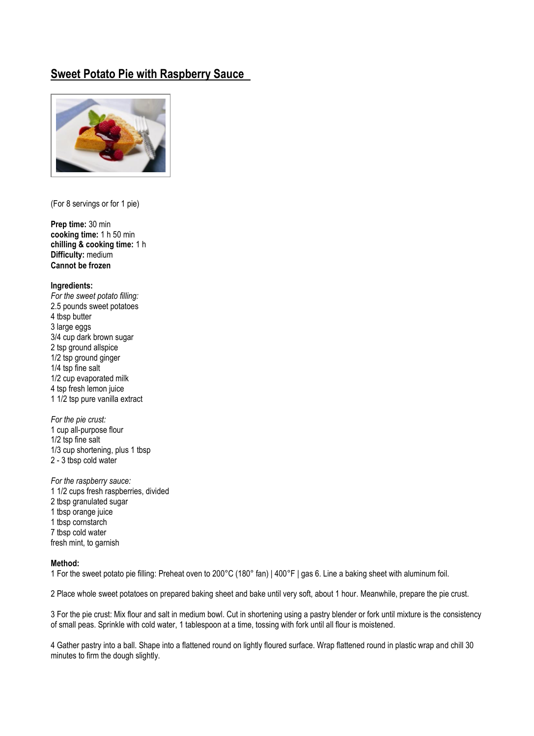## **Sweet Potato Pie with Raspberry Sauce**



(For 8 servings or for 1 pie)

**Prep time:** 30 min **cooking time:** 1 h 50 min **chilling & cooking time:** 1 h **Difficulty:** medium **Cannot be frozen**

## **Ingredients:**

*For the sweet potato filling:* 2.5 pounds sweet potatoes 4 tbsp butter 3 large eggs 3/4 cup dark brown sugar 2 tsp ground allspice 1/2 tsp ground ginger 1/4 tsp fine salt 1/2 cup evaporated milk 4 tsp fresh lemon juice 1 1/2 tsp pure vanilla extract

*For the pie crust:* 1 cup all-purpose flour 1/2 tsp fine salt 1/3 cup shortening, plus 1 tbsp 2 - 3 tbsp cold water

*For the raspberry sauce:* 1 1/2 cups fresh raspberries, divided 2 tbsp granulated sugar 1 tbsp orange juice 1 tbsp cornstarch 7 tbsp cold water fresh mint, to garnish

## **Method:**

1 For the sweet potato pie filling: Preheat oven to 200°C (180° fan) | 400°F | gas 6. Line a baking sheet with aluminum foil.

2 Place whole sweet potatoes on prepared baking sheet and bake until very soft, about 1 hour. Meanwhile, prepare the pie crust.

3 For the pie crust: Mix flour and salt in medium bowl. Cut in shortening using a pastry blender or fork until mixture is the consistency of small peas. Sprinkle with cold water, 1 tablespoon at a time, tossing with fork until all flour is moistened.

4 Gather pastry into a ball. Shape into a flattened round on lightly floured surface. Wrap flattened round in plastic wrap and chill 30 minutes to firm the dough slightly.